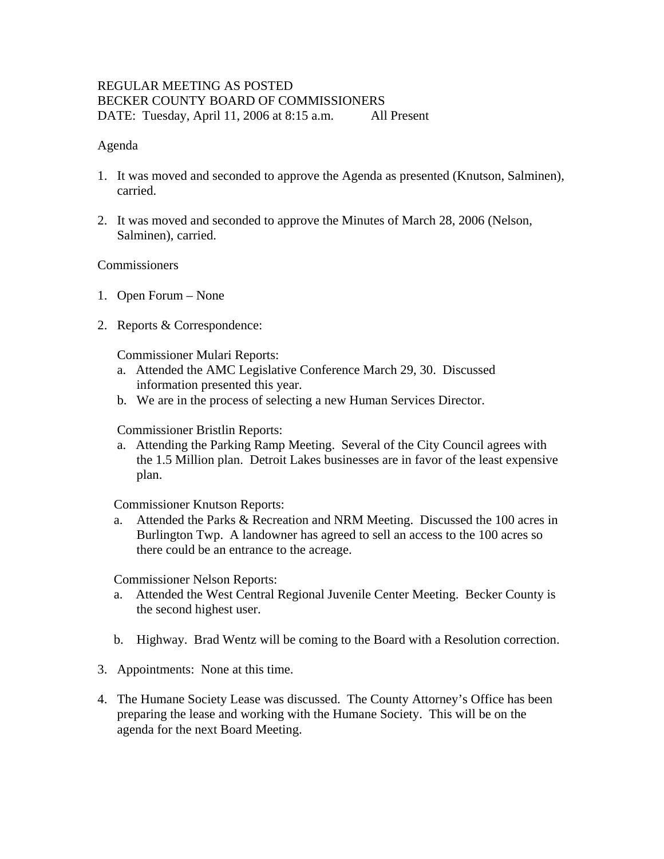## REGULAR MEETING AS POSTED BECKER COUNTY BOARD OF COMMISSIONERS DATE: Tuesday, April 11, 2006 at 8:15 a.m. All Present

#### Agenda

- 1. It was moved and seconded to approve the Agenda as presented (Knutson, Salminen), carried.
- 2. It was moved and seconded to approve the Minutes of March 28, 2006 (Nelson, Salminen), carried.

#### Commissioners

- 1. Open Forum None
- 2. Reports & Correspondence:

Commissioner Mulari Reports:

- a. Attended the AMC Legislative Conference March 29, 30. Discussed information presented this year.
- b. We are in the process of selecting a new Human Services Director.

Commissioner Bristlin Reports:

a. Attending the Parking Ramp Meeting. Several of the City Council agrees with the 1.5 Million plan. Detroit Lakes businesses are in favor of the least expensive plan.

Commissioner Knutson Reports:

 a. Attended the Parks & Recreation and NRM Meeting. Discussed the 100 acres in Burlington Twp. A landowner has agreed to sell an access to the 100 acres so there could be an entrance to the acreage.

Commissioner Nelson Reports:

- a. Attended the West Central Regional Juvenile Center Meeting. Becker County is the second highest user.
- b. Highway. Brad Wentz will be coming to the Board with a Resolution correction.
- 3. Appointments: None at this time.
- 4. The Humane Society Lease was discussed. The County Attorney's Office has been preparing the lease and working with the Humane Society. This will be on the agenda for the next Board Meeting.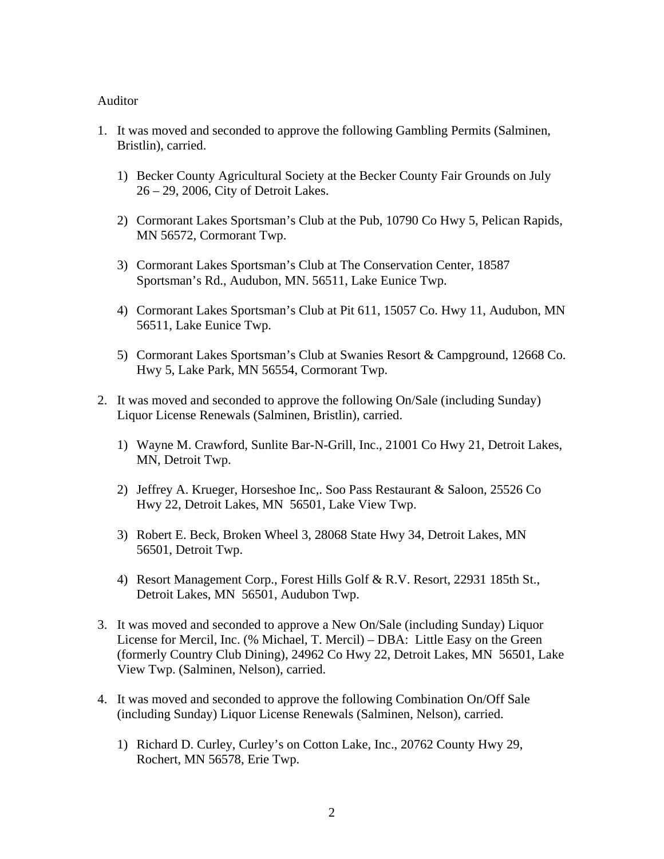#### Auditor

- 1. It was moved and seconded to approve the following Gambling Permits (Salminen, Bristlin), carried.
	- 1) Becker County Agricultural Society at the Becker County Fair Grounds on July 26 – 29, 2006, City of Detroit Lakes.
	- 2) Cormorant Lakes Sportsman's Club at the Pub, 10790 Co Hwy 5, Pelican Rapids, MN 56572, Cormorant Twp.
	- 3) Cormorant Lakes Sportsman's Club at The Conservation Center, 18587 Sportsman's Rd., Audubon, MN. 56511, Lake Eunice Twp.
	- 4) Cormorant Lakes Sportsman's Club at Pit 611, 15057 Co. Hwy 11, Audubon, MN 56511, Lake Eunice Twp.
	- 5) Cormorant Lakes Sportsman's Club at Swanies Resort & Campground, 12668 Co. Hwy 5, Lake Park, MN 56554, Cormorant Twp.
- 2. It was moved and seconded to approve the following On/Sale (including Sunday) Liquor License Renewals (Salminen, Bristlin), carried.
	- 1) Wayne M. Crawford, Sunlite Bar-N-Grill, Inc., 21001 Co Hwy 21, Detroit Lakes, MN, Detroit Twp.
	- 2) Jeffrey A. Krueger, Horseshoe Inc,. Soo Pass Restaurant & Saloon, 25526 Co Hwy 22, Detroit Lakes, MN 56501, Lake View Twp.
	- 3) Robert E. Beck, Broken Wheel 3, 28068 State Hwy 34, Detroit Lakes, MN 56501, Detroit Twp.
	- 4) Resort Management Corp., Forest Hills Golf & R.V. Resort, 22931 185th St., Detroit Lakes, MN 56501, Audubon Twp.
- 3. It was moved and seconded to approve a New On/Sale (including Sunday) Liquor License for Mercil, Inc. (% Michael, T. Mercil) – DBA: Little Easy on the Green (formerly Country Club Dining), 24962 Co Hwy 22, Detroit Lakes, MN 56501, Lake View Twp. (Salminen, Nelson), carried.
- 4. It was moved and seconded to approve the following Combination On/Off Sale (including Sunday) Liquor License Renewals (Salminen, Nelson), carried.
	- 1) Richard D. Curley, Curley's on Cotton Lake, Inc., 20762 County Hwy 29, Rochert, MN 56578, Erie Twp.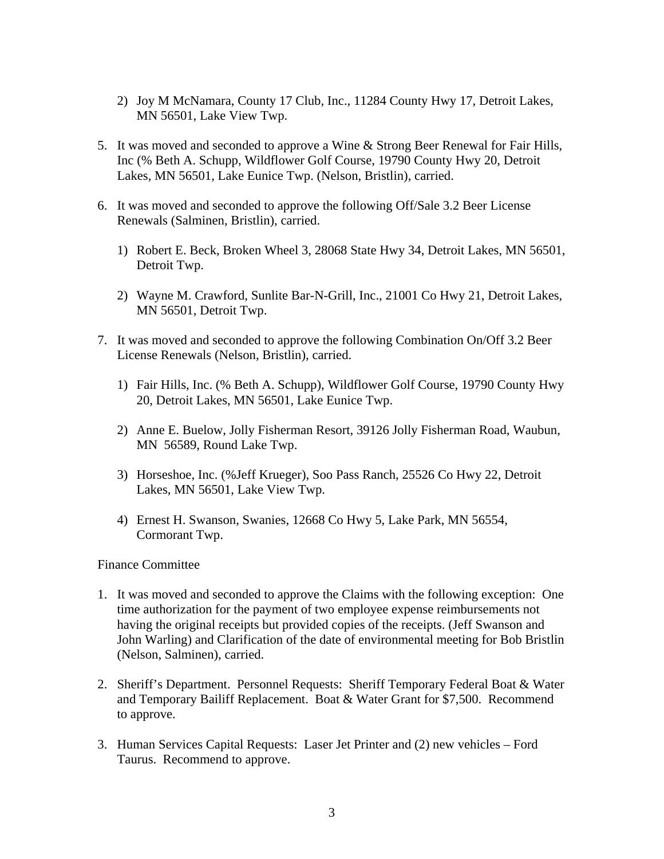- 2) Joy M McNamara, County 17 Club, Inc., 11284 County Hwy 17, Detroit Lakes, MN 56501, Lake View Twp.
- 5. It was moved and seconded to approve a Wine & Strong Beer Renewal for Fair Hills, Inc (% Beth A. Schupp, Wildflower Golf Course, 19790 County Hwy 20, Detroit Lakes, MN 56501, Lake Eunice Twp. (Nelson, Bristlin), carried.
- 6. It was moved and seconded to approve the following Off/Sale 3.2 Beer License Renewals (Salminen, Bristlin), carried.
	- 1) Robert E. Beck, Broken Wheel 3, 28068 State Hwy 34, Detroit Lakes, MN 56501, Detroit Twp.
	- 2) Wayne M. Crawford, Sunlite Bar-N-Grill, Inc., 21001 Co Hwy 21, Detroit Lakes, MN 56501, Detroit Twp.
- 7. It was moved and seconded to approve the following Combination On/Off 3.2 Beer License Renewals (Nelson, Bristlin), carried.
	- 1) Fair Hills, Inc. (% Beth A. Schupp), Wildflower Golf Course, 19790 County Hwy 20, Detroit Lakes, MN 56501, Lake Eunice Twp.
	- 2) Anne E. Buelow, Jolly Fisherman Resort, 39126 Jolly Fisherman Road, Waubun, MN 56589, Round Lake Twp.
	- 3) Horseshoe, Inc. (%Jeff Krueger), Soo Pass Ranch, 25526 Co Hwy 22, Detroit Lakes, MN 56501, Lake View Twp.
	- 4) Ernest H. Swanson, Swanies, 12668 Co Hwy 5, Lake Park, MN 56554, Cormorant Twp.

### Finance Committee

- 1. It was moved and seconded to approve the Claims with the following exception: One time authorization for the payment of two employee expense reimbursements not having the original receipts but provided copies of the receipts. (Jeff Swanson and John Warling) and Clarification of the date of environmental meeting for Bob Bristlin (Nelson, Salminen), carried.
- 2. Sheriff's Department. Personnel Requests: Sheriff Temporary Federal Boat & Water and Temporary Bailiff Replacement. Boat & Water Grant for \$7,500. Recommend to approve.
- 3. Human Services Capital Requests: Laser Jet Printer and (2) new vehicles Ford Taurus. Recommend to approve.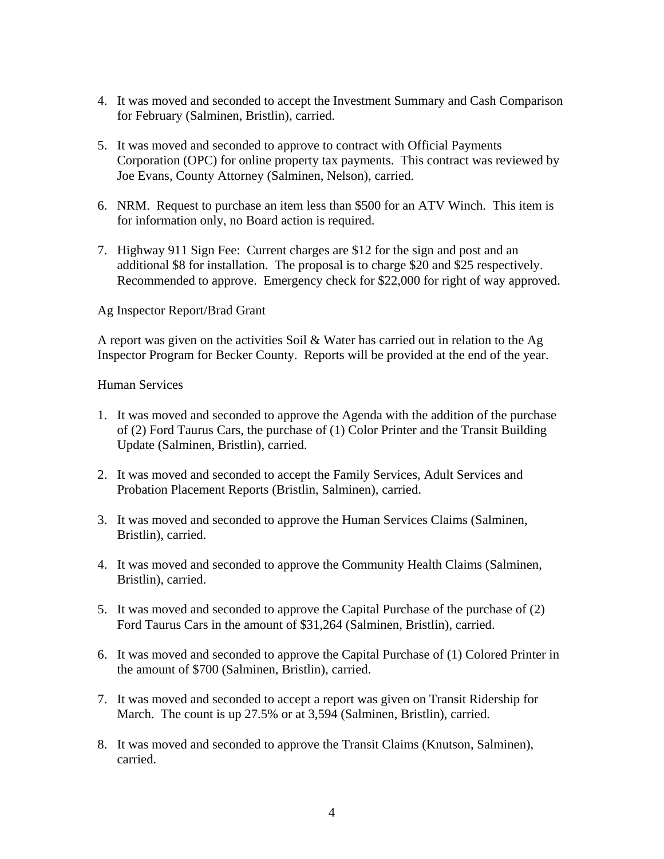- 4. It was moved and seconded to accept the Investment Summary and Cash Comparison for February (Salminen, Bristlin), carried.
- 5. It was moved and seconded to approve to contract with Official Payments Corporation (OPC) for online property tax payments. This contract was reviewed by Joe Evans, County Attorney (Salminen, Nelson), carried.
- 6. NRM. Request to purchase an item less than \$500 for an ATV Winch. This item is for information only, no Board action is required.
- 7. Highway 911 Sign Fee: Current charges are \$12 for the sign and post and an additional \$8 for installation. The proposal is to charge \$20 and \$25 respectively. Recommended to approve. Emergency check for \$22,000 for right of way approved.

### Ag Inspector Report/Brad Grant

A report was given on the activities Soil & Water has carried out in relation to the Ag Inspector Program for Becker County. Reports will be provided at the end of the year.

#### Human Services

- 1. It was moved and seconded to approve the Agenda with the addition of the purchase of (2) Ford Taurus Cars, the purchase of (1) Color Printer and the Transit Building Update (Salminen, Bristlin), carried.
- 2. It was moved and seconded to accept the Family Services, Adult Services and Probation Placement Reports (Bristlin, Salminen), carried.
- 3. It was moved and seconded to approve the Human Services Claims (Salminen, Bristlin), carried.
- 4. It was moved and seconded to approve the Community Health Claims (Salminen, Bristlin), carried.
- 5. It was moved and seconded to approve the Capital Purchase of the purchase of (2) Ford Taurus Cars in the amount of \$31,264 (Salminen, Bristlin), carried.
- 6. It was moved and seconded to approve the Capital Purchase of (1) Colored Printer in the amount of \$700 (Salminen, Bristlin), carried.
- 7. It was moved and seconded to accept a report was given on Transit Ridership for March. The count is up 27.5% or at 3,594 (Salminen, Bristlin), carried.
- 8. It was moved and seconded to approve the Transit Claims (Knutson, Salminen), carried.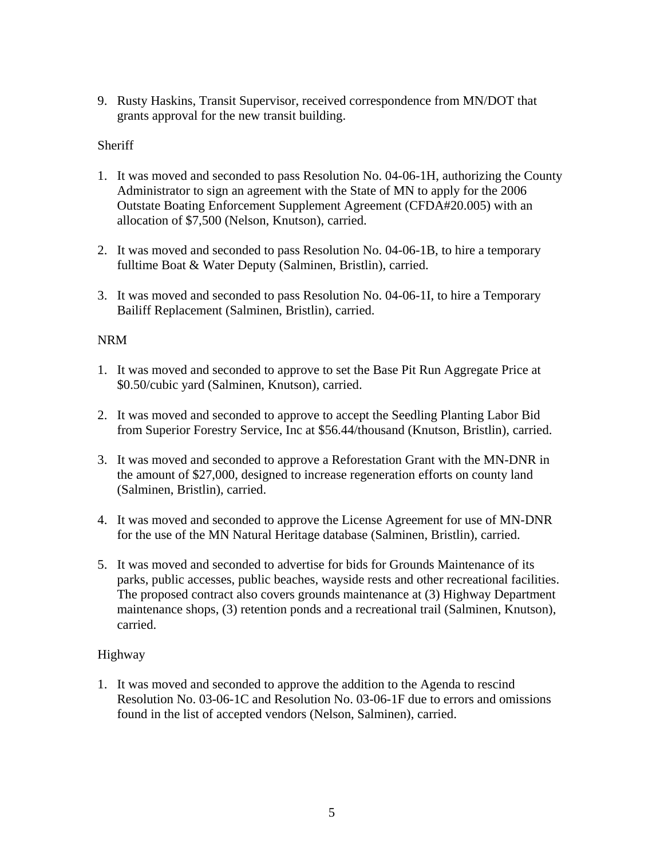9. Rusty Haskins, Transit Supervisor, received correspondence from MN/DOT that grants approval for the new transit building.

# **Sheriff**

- 1. It was moved and seconded to pass Resolution No. 04-06-1H, authorizing the County Administrator to sign an agreement with the State of MN to apply for the 2006 Outstate Boating Enforcement Supplement Agreement (CFDA#20.005) with an allocation of \$7,500 (Nelson, Knutson), carried.
- 2. It was moved and seconded to pass Resolution No. 04-06-1B, to hire a temporary fulltime Boat & Water Deputy (Salminen, Bristlin), carried.
- 3. It was moved and seconded to pass Resolution No. 04-06-1I, to hire a Temporary Bailiff Replacement (Salminen, Bristlin), carried.

## NRM

- 1. It was moved and seconded to approve to set the Base Pit Run Aggregate Price at \$0.50/cubic yard (Salminen, Knutson), carried.
- 2. It was moved and seconded to approve to accept the Seedling Planting Labor Bid from Superior Forestry Service, Inc at \$56.44/thousand (Knutson, Bristlin), carried.
- 3. It was moved and seconded to approve a Reforestation Grant with the MN-DNR in the amount of \$27,000, designed to increase regeneration efforts on county land (Salminen, Bristlin), carried.
- 4. It was moved and seconded to approve the License Agreement for use of MN-DNR for the use of the MN Natural Heritage database (Salminen, Bristlin), carried.
- 5. It was moved and seconded to advertise for bids for Grounds Maintenance of its parks, public accesses, public beaches, wayside rests and other recreational facilities. The proposed contract also covers grounds maintenance at (3) Highway Department maintenance shops, (3) retention ponds and a recreational trail (Salminen, Knutson), carried.

# Highway

1. It was moved and seconded to approve the addition to the Agenda to rescind Resolution No. 03-06-1C and Resolution No. 03-06-1F due to errors and omissions found in the list of accepted vendors (Nelson, Salminen), carried.